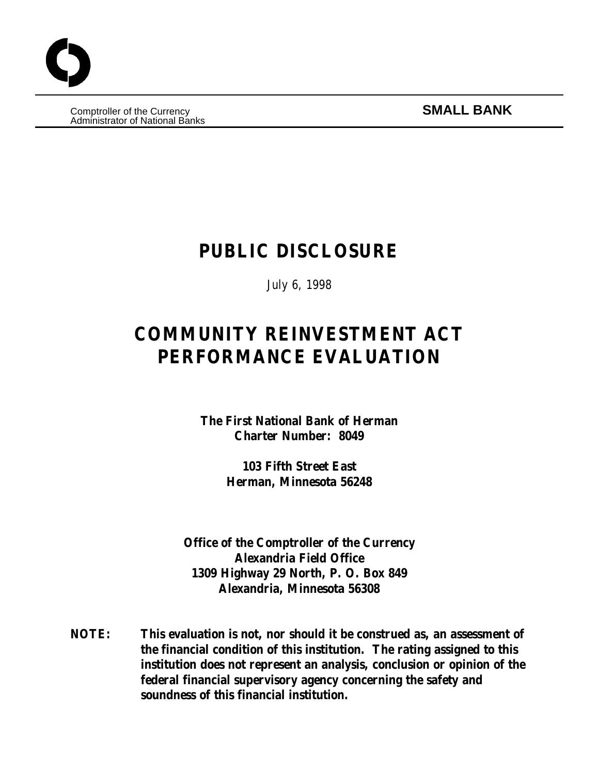**Comptroller of the Currency SMALL BANK** Administrator of National Banks

# **PUBLIC DISCLOSURE**

July 6, 1998

# **COMMUNITY REINVESTMENT ACT PERFORMANCE EVALUATION**

**The First National Bank of Herman Charter Number: 8049**

> **103 Fifth Street East Herman, Minnesota 56248**

**Office of the Comptroller of the Currency Alexandria Field Office 1309 Highway 29 North, P. O. Box 849 Alexandria, Minnesota 56308**

**NOTE: This evaluation is not, nor should it be construed as, an assessment of the financial condition of this institution. The rating assigned to this institution does not represent an analysis, conclusion or opinion of the federal financial supervisory agency concerning the safety and soundness of this financial institution.**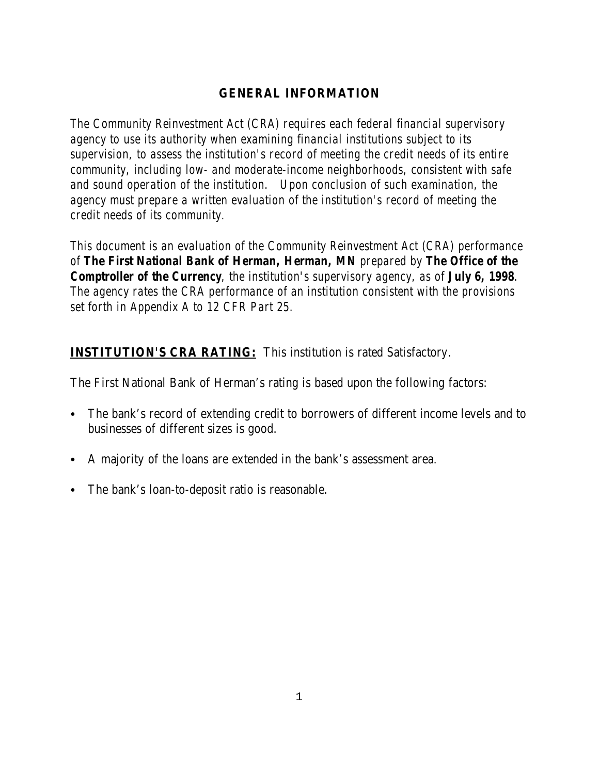# **GENERAL INFORMATION**

*The Community Reinvestment Act (CRA) requires each federal financial supervisory agency to use its authority when examining financial institutions subject to its supervision, to assess the institution's record of meeting the credit needs of its entire community, including low- and moderate-income neighborhoods, consistent with safe and sound operation of the institution. Upon conclusion of such examination, the agency must prepare a written evaluation of the institution's record of meeting the credit needs of its community.* 

*This document is an evaluation of the Community Reinvestment Act (CRA) performance of The First National Bank of Herman, Herman, MN prepared by The Office of the Comptroller of the Currency, the institution's supervisory agency, as of July 6, 1998. The agency rates the CRA performance of an institution consistent with the provisions set forth in Appendix A to 12 CFR Part 25.*

# **INSTITUTION'S CRA RATING:** This institution is rated Satisfactory.

The First National Bank of Herman's rating is based upon the following factors:

- The bank's record of extending credit to borrowers of different income levels and to businesses of different sizes is good.
- A majority of the loans are extended in the bank's assessment area.
- The bank's loan-to-deposit ratio is reasonable.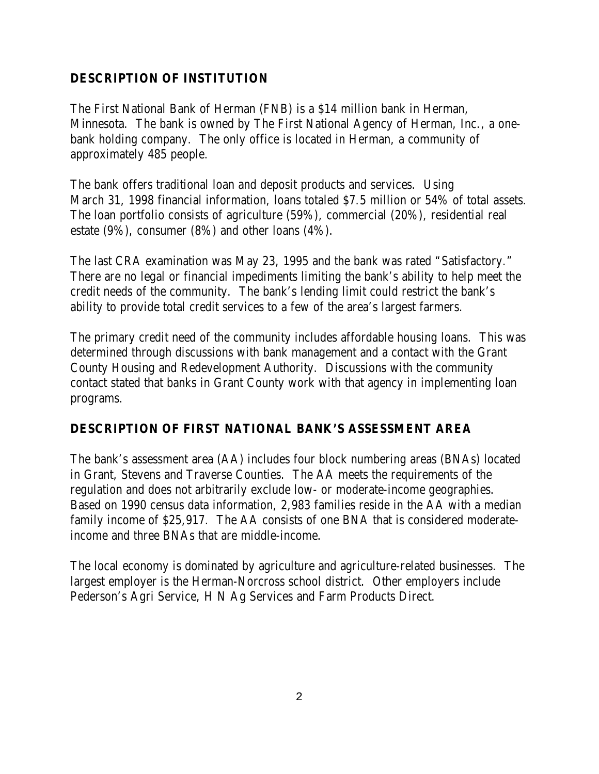# **DESCRIPTION OF INSTITUTION**

The First National Bank of Herman (FNB) is a \$14 million bank in Herman, Minnesota. The bank is owned by The First National Agency of Herman, Inc., a onebank holding company. The only office is located in Herman, a community of approximately 485 people.

The bank offers traditional loan and deposit products and services. Using March 31, 1998 financial information, loans totaled \$7.5 million or 54% of total assets. The loan portfolio consists of agriculture (59%), commercial (20%), residential real estate (9%), consumer (8%) and other loans (4%).

The last CRA examination was May 23, 1995 and the bank was rated "Satisfactory." There are no legal or financial impediments limiting the bank's ability to help meet the credit needs of the community. The bank's lending limit could restrict the bank's ability to provide total credit services to a few of the area's largest farmers.

The primary credit need of the community includes affordable housing loans. This was determined through discussions with bank management and a contact with the Grant County Housing and Redevelopment Authority. Discussions with the community contact stated that banks in Grant County work with that agency in implementing loan programs.

#### **DESCRIPTION OF FIRST NATIONAL BANK'S ASSESSMENT AREA**

The bank's assessment area (AA) includes four block numbering areas (BNAs) located in Grant, Stevens and Traverse Counties. The AA meets the requirements of the regulation and does not arbitrarily exclude low- or moderate-income geographies. Based on 1990 census data information, 2,983 families reside in the AA with a median family income of \$25,917. The AA consists of one BNA that is considered moderateincome and three BNAs that are middle-income.

The local economy is dominated by agriculture and agriculture-related businesses. The largest employer is the Herman-Norcross school district. Other employers include Pederson's Agri Service, H N Ag Services and Farm Products Direct.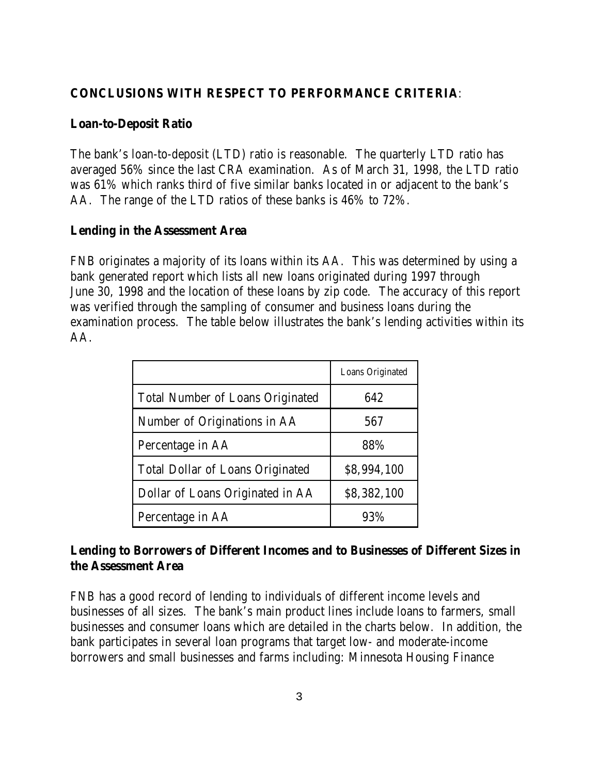### **CONCLUSIONS WITH RESPECT TO PERFORMANCE CRITERIA**:

#### **Loan-to-Deposit Ratio**

The bank's loan-to-deposit (LTD) ratio is reasonable. The quarterly LTD ratio has averaged 56% since the last CRA examination. As of March 31, 1998, the LTD ratio was 61% which ranks third of five similar banks located in or adjacent to the bank's AA. The range of the LTD ratios of these banks is 46% to 72%.

#### **Lending in the Assessment Area**

FNB originates a majority of its loans within its AA. This was determined by using a bank generated report which lists all new loans originated during 1997 through June 30, 1998 and the location of these loans by zip code. The accuracy of this report was verified through the sampling of consumer and business loans during the examination process. The table below illustrates the bank's lending activities within its AA.

|                                         | Loans Originated |
|-----------------------------------------|------------------|
| <b>Total Number of Loans Originated</b> | 642              |
| Number of Originations in AA            | 567              |
| Percentage in AA                        | 88%              |
| <b>Total Dollar of Loans Originated</b> | \$8,994,100      |
| Dollar of Loans Originated in AA        | \$8,382,100      |
| Percentage in AA                        | 93%              |

# **Lending to Borrowers of Different Incomes and to Businesses of Different Sizes in the Assessment Area**

FNB has a good record of lending to individuals of different income levels and businesses of all sizes. The bank's main product lines include loans to farmers, small businesses and consumer loans which are detailed in the charts below. In addition, the bank participates in several loan programs that target low- and moderate-income borrowers and small businesses and farms including: Minnesota Housing Finance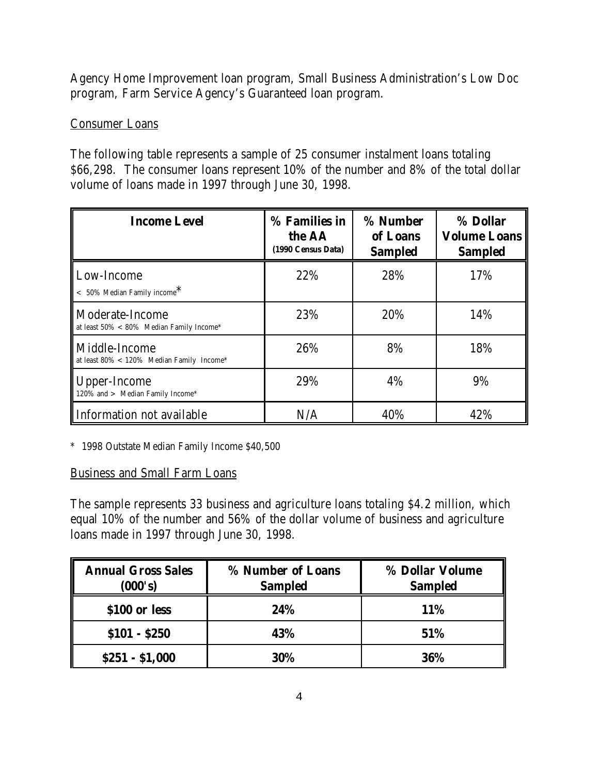Agency Home Improvement loan program, Small Business Administration's Low Doc program, Farm Service Agency's Guaranteed loan program.

#### Consumer Loans

The following table represents a sample of 25 consumer instalment loans totaling \$66,298. The consumer loans represent 10% of the number and 8% of the total dollar volume of loans made in 1997 through June 30, 1998.

| <b>Income Level</b>                                             | % Families in<br>the AA<br>(1990 Census Data) | % Number<br>of Loans<br><b>Sampled</b> | % Dollar<br><b>Volume Loans</b><br><b>Sampled</b> |
|-----------------------------------------------------------------|-----------------------------------------------|----------------------------------------|---------------------------------------------------|
| Low-Income<br>$< 50\%$ Median Family income <sup>*</sup>        | 22%                                           | 28%                                    | 17%                                               |
| Moderate-Income<br>at least $50\% < 80\%$ Median Family Income* | 23%                                           | 20%                                    | 14%                                               |
| Middle-Income<br>at least 80% < 120% Median Family Income*      | 26%                                           | 8%                                     | 18%                                               |
| Upper-Income<br>120% and > Median Family Income*                | 29%                                           | 4%                                     | 9%                                                |
| Information not available                                       | N/A                                           | 40%                                    | 42%                                               |

\* 1998 Outstate Median Family Income \$40,500

#### Business and Small Farm Loans

The sample represents 33 business and agriculture loans totaling \$4.2 million, which equal 10% of the number and 56% of the dollar volume of business and agriculture loans made in 1997 through June 30, 1998.

| <b>Annual Gross Sales</b><br>(000's) | % Number of Loans<br><b>Sampled</b> | % Dollar Volume<br><b>Sampled</b> |
|--------------------------------------|-------------------------------------|-----------------------------------|
| \$100 or less                        | 24%                                 | <b>11%</b>                        |
| $$101 - $250$                        | 43%                                 | 51%                               |
| $$251 - $1,000$                      | 30%                                 | 36%                               |